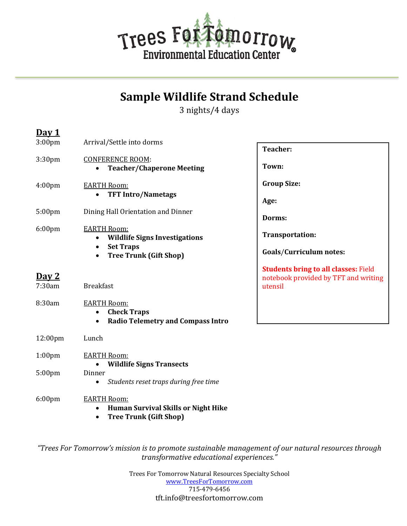

## **Sample Wildlife Strand Schedule**

3 nights/4 days

**D**<sub>22</sub><sup>1</sup>

| <u>Day 1</u>       |                                                                                                                |                                                                                                |
|--------------------|----------------------------------------------------------------------------------------------------------------|------------------------------------------------------------------------------------------------|
| 3:00 <sub>pm</sub> | Arrival/Settle into dorms                                                                                      | <b>Teacher:</b>                                                                                |
| 3:30pm             | <b>CONFERENCE ROOM:</b><br><b>Teacher/Chaperone Meeting</b>                                                    | Town:                                                                                          |
| 4:00 <sub>pm</sub> | <b>EARTH Room:</b><br><b>TFT Intro/Nametags</b><br>$\bullet$                                                   | <b>Group Size:</b><br>Age:                                                                     |
| 5:00pm             | Dining Hall Orientation and Dinner                                                                             | Dorms:                                                                                         |
| 6:00pm             | <b>EARTH Room:</b><br><b>Wildlife Signs Investigations</b>                                                     | Transportation:                                                                                |
|                    | <b>Set Traps</b><br>$\bullet$<br><b>Tree Trunk (Gift Shop)</b><br>$\bullet$                                    | <b>Goals/Curriculum notes:</b>                                                                 |
| Day 2<br>7:30am    | <b>Breakfast</b>                                                                                               | <b>Students bring to all classes: Field</b><br>notebook provided by TFT and writing<br>utensil |
| 8:30am             | <b>EARTH Room:</b><br><b>Check Traps</b><br>$\bullet$<br><b>Radio Telemetry and Compass Intro</b>              |                                                                                                |
| 12:00pm            | Lunch                                                                                                          |                                                                                                |
| 1:00 <sub>pm</sub> | <b>EARTH Room:</b><br><b>Wildlife Signs Transects</b>                                                          |                                                                                                |
| 5:00pm             | Dinner<br>Students reset traps during free time<br>٠                                                           |                                                                                                |
| $6:00$ pm          | <b>EARTH Room:</b><br><b>Human Survival Skills or Night Hike</b><br><b>Tree Trunk (Gift Shop)</b><br>$\bullet$ |                                                                                                |

"Trees For Tomorrow's mission is to promote sustainable management of our natural resources through *transformative educational experiences."*

> Trees For Tomorrow Natural Resources Specialty School www.TreesForTomorrow.com 715-479-6456 tft.info@treesfortomorrow.com